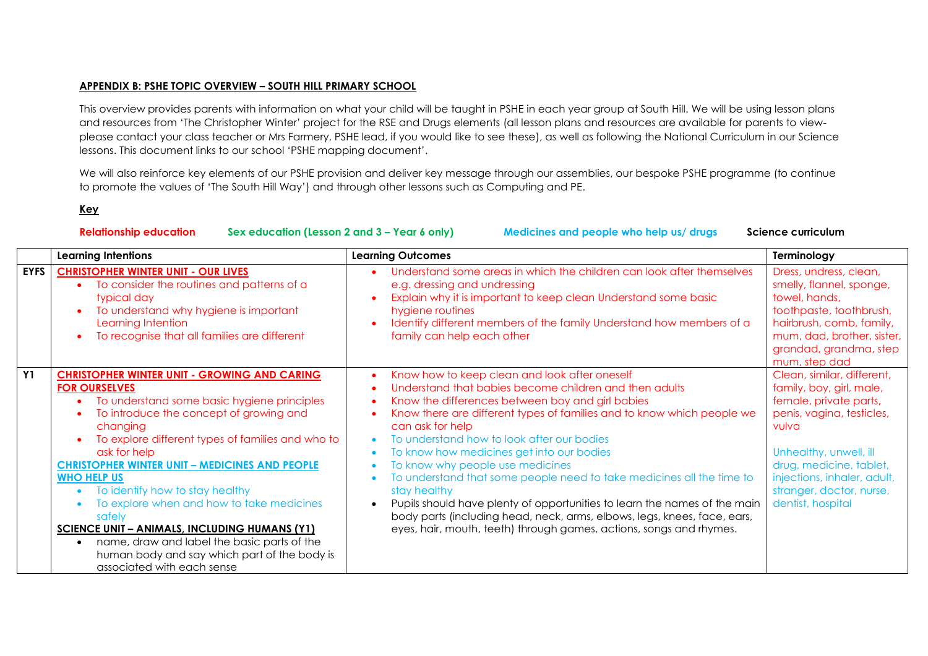## **APPENDIX B: PSHE TOPIC OVERVIEW – SOUTH HILL PRIMARY SCHOOL**

This overview provides parents with information on what your child will be taught in PSHE in each year group at South Hill. We will be using lesson plans and resources from 'The Christopher Winter' project for the RSE and Drugs elements (all lesson plans and resources are available for parents to viewplease contact your class teacher or Mrs Farmery, PSHE lead, if you would like to see these), as well as following the National Curriculum in our Science lessons. This document links to our school 'PSHE mapping document'.

We will also reinforce key elements of our PSHE provision and deliver key message through our assemblies, our bespoke PSHE programme (to continue to promote the values of 'The South Hill Way') and through other lessons such as Computing and PE.

## **Key**

**Relationship education Sex education (Lesson 2 and 3 – Year 6 only) Medicines and people who help us/ drugs Science curriculum**

|             | <b>Learning Intentions</b>                                                                                                                                                                                                                                                                                                                                                                                                                                                                                                                                                                                           | <b>Learning Outcomes</b>                                                                                                                                                                                                                                                                                                                                                                                                                                                                                                                                                                                                                                                                                          | Terminology                                                                                                                                                                                                                                                 |
|-------------|----------------------------------------------------------------------------------------------------------------------------------------------------------------------------------------------------------------------------------------------------------------------------------------------------------------------------------------------------------------------------------------------------------------------------------------------------------------------------------------------------------------------------------------------------------------------------------------------------------------------|-------------------------------------------------------------------------------------------------------------------------------------------------------------------------------------------------------------------------------------------------------------------------------------------------------------------------------------------------------------------------------------------------------------------------------------------------------------------------------------------------------------------------------------------------------------------------------------------------------------------------------------------------------------------------------------------------------------------|-------------------------------------------------------------------------------------------------------------------------------------------------------------------------------------------------------------------------------------------------------------|
| <b>EYFS</b> | <b>CHRISTOPHER WINTER UNIT - OUR LIVES</b><br>To consider the routines and patterns of a<br>typical day<br>To understand why hygiene is important<br>Learning Intention<br>To recognise that all families are different                                                                                                                                                                                                                                                                                                                                                                                              | Understand some areas in which the children can look after themselves<br>e.g. dressing and undressing<br>Explain why it is important to keep clean Understand some basic<br>hygiene routines<br>Identify different members of the family Understand how members of a<br>family can help each other                                                                                                                                                                                                                                                                                                                                                                                                                | Dress, undress, clean,<br>smelly, flannel, sponge,<br>towel, hands,<br>toothpaste, toothbrush,<br>hairbrush, comb, family,<br>mum, dad, brother, sister,<br>grandad, grandma, step<br>mum, step dad                                                         |
| <b>Y1</b>   | <b>CHRISTOPHER WINTER UNIT - GROWING AND CARING</b><br><b>FOR OURSELVES</b><br>To understand some basic hygiene principles<br>To introduce the concept of growing and<br>changing<br>To explore different types of families and who to<br>ask for help<br><b>CHRISTOPHER WINTER UNIT - MEDICINES AND PEOPLE</b><br><b>WHO HELP US</b><br>To identify how to stay healthy<br>To explore when and how to take medicines<br>safely<br><b>SCIENCE UNIT - ANIMALS, INCLUDING HUMANS (Y1)</b><br>name, draw and label the basic parts of the<br>human body and say which part of the body is<br>associated with each sense | Know how to keep clean and look after oneself<br>Understand that babies become children and then adults<br>Know the differences between boy and girl babies<br>Know there are different types of families and to know which people we<br>can ask for help<br>To understand how to look after our bodies<br>To know how medicines get into our bodies<br>To know why people use medicines<br>To understand that some people need to take medicines all the time to<br>stay healthy<br>Pupils should have plenty of opportunities to learn the names of the main<br>body parts (including head, neck, arms, elbows, legs, knees, face, ears,<br>eyes, hair, mouth, teeth) through games, actions, songs and rhymes. | Clean, similar, different,<br>family, boy, girl, male,<br>female, private parts,<br>penis, vagina, testicles,<br>vulva<br>Unhealthy, unwell, ill<br>drug, medicine, tablet,<br>injections, inhaler, adult,<br>stranger, doctor, nurse,<br>dentist, hospital |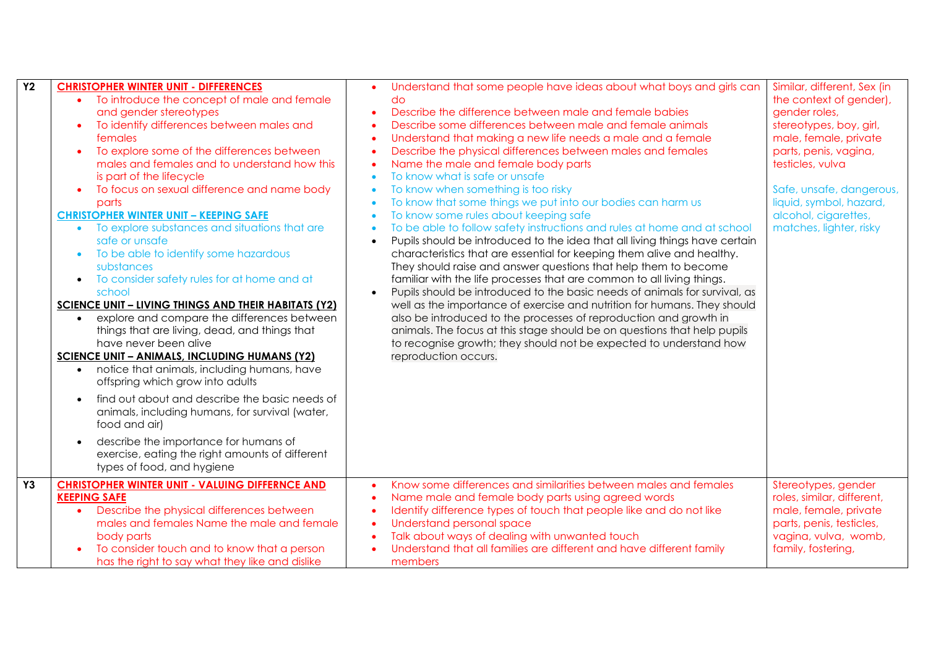| $\overline{Y}$ | <b>CHRISTOPHER WINTER UNIT - DIFFERENCES</b><br>To introduce the concept of male and female<br>and gender stereotypes<br>To identify differences between males and<br>females<br>To explore some of the differences between<br>males and females and to understand how this<br>is part of the lifecycle<br>To focus on sexual difference and name body<br>parts<br><b>CHRISTOPHER WINTER UNIT - KEEPING SAFE</b><br>• To explore substances and situations that are<br>safe or unsafe<br>To be able to identify some hazardous<br>substances<br>To consider safety rules for at home and at<br>school<br><b>SCIENCE UNIT - LIVING THINGS AND THEIR HABITATS (Y2)</b><br>explore and compare the differences between<br>things that are living, dead, and things that<br>have never been alive<br><b>SCIENCE UNIT - ANIMALS, INCLUDING HUMANS (Y2)</b><br>notice that animals, including humans, have<br>offspring which grow into adults<br>find out about and describe the basic needs of<br>animals, including humans, for survival (water,<br>food and air)<br>describe the importance for humans of<br>exercise, eating the right amounts of different<br>types of food, and hygiene | Understand that some people have ideas about what boys and girls can<br>$\bullet$<br>do<br>Describe the difference between male and female babies<br>Describe some differences between male and female animals<br>Understand that making a new life needs a male and a female<br>$\bullet$<br>Describe the physical differences between males and females<br>$\bullet$<br>Name the male and female body parts<br>$\bullet$<br>To know what is safe or unsafe<br>$\bullet$<br>To know when something is too risky<br>$\bullet$<br>To know that some things we put into our bodies can harm us<br>$\bullet$<br>To know some rules about keeping safe<br>$\bullet$<br>To be able to follow safety instructions and rules at home and at school<br>$\bullet$<br>Pupils should be introduced to the idea that all living things have certain<br>$\bullet$<br>characteristics that are essential for keeping them alive and healthy.<br>They should raise and answer questions that help them to become<br>familiar with the life processes that are common to all living things.<br>Pupils should be introduced to the basic needs of animals for survival, as<br>$\bullet$<br>well as the importance of exercise and nutrition for humans. They should<br>also be introduced to the processes of reproduction and growth in<br>animals. The focus at this stage should be on questions that help pupils<br>to recognise growth; they should not be expected to understand how<br>reproduction occurs. | Similar, different, Sex (in<br>the context of gender),<br>gender roles,<br>stereotypes, boy, girl,<br>male, female, private<br>parts, penis, vagina,<br>testicles, vulva<br>Safe, unsafe, dangerous,<br>liquid, symbol, hazard,<br>alcohol, cigarettes,<br>matches, lighter, risky |
|----------------|------------------------------------------------------------------------------------------------------------------------------------------------------------------------------------------------------------------------------------------------------------------------------------------------------------------------------------------------------------------------------------------------------------------------------------------------------------------------------------------------------------------------------------------------------------------------------------------------------------------------------------------------------------------------------------------------------------------------------------------------------------------------------------------------------------------------------------------------------------------------------------------------------------------------------------------------------------------------------------------------------------------------------------------------------------------------------------------------------------------------------------------------------------------------------------------|---------------------------------------------------------------------------------------------------------------------------------------------------------------------------------------------------------------------------------------------------------------------------------------------------------------------------------------------------------------------------------------------------------------------------------------------------------------------------------------------------------------------------------------------------------------------------------------------------------------------------------------------------------------------------------------------------------------------------------------------------------------------------------------------------------------------------------------------------------------------------------------------------------------------------------------------------------------------------------------------------------------------------------------------------------------------------------------------------------------------------------------------------------------------------------------------------------------------------------------------------------------------------------------------------------------------------------------------------------------------------------------------------------------------------------------------------------------------------------------------------|------------------------------------------------------------------------------------------------------------------------------------------------------------------------------------------------------------------------------------------------------------------------------------|
| <b>Y3</b>      | <b>CHRISTOPHER WINTER UNIT - VALUING DIFFERNCE AND</b><br><b>KEEPING SAFE</b><br>Describe the physical differences between<br>males and females Name the male and female<br>body parts<br>To consider touch and to know that a person<br>has the right to say what they like and dislike                                                                                                                                                                                                                                                                                                                                                                                                                                                                                                                                                                                                                                                                                                                                                                                                                                                                                                 | Know some differences and similarities between males and females<br>$\bullet$<br>Name male and female body parts using agreed words<br>$\bullet$<br>Identify difference types of touch that people like and do not like<br>$\bullet$<br>Understand personal space<br>$\bullet$<br>Talk about ways of dealing with unwanted touch<br>$\bullet$<br>Understand that all families are different and have different family<br>members                                                                                                                                                                                                                                                                                                                                                                                                                                                                                                                                                                                                                                                                                                                                                                                                                                                                                                                                                                                                                                                                  | Stereotypes, gender<br>roles, similar, different,<br>male, female, private<br>parts, penis, testicles,<br>vagina, vulva, womb,<br>family, fostering,                                                                                                                               |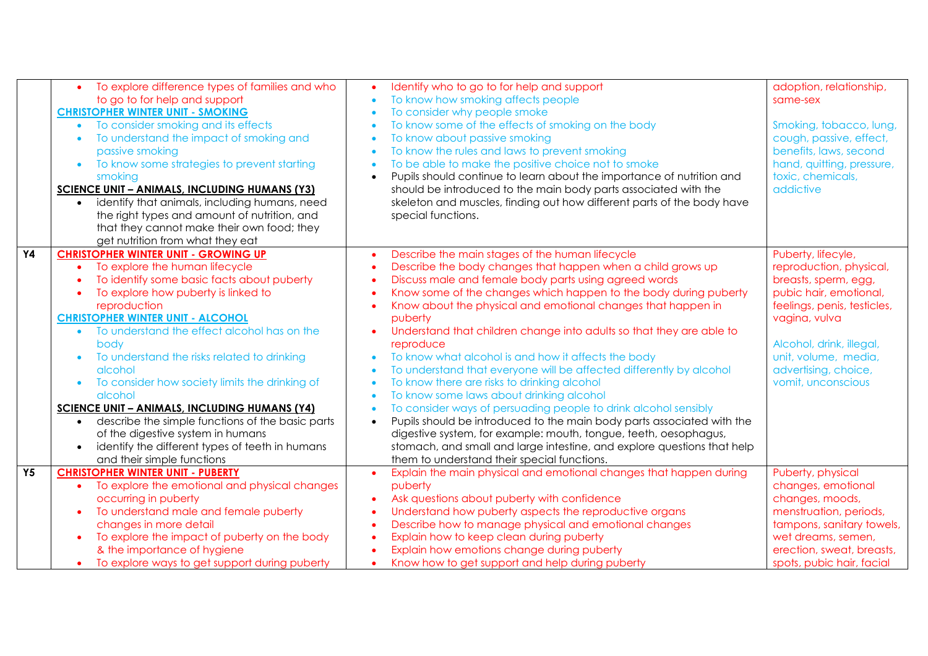|           | To explore difference types of families and who               | Identify who to go to for help and support                              | adoption, relationship,     |
|-----------|---------------------------------------------------------------|-------------------------------------------------------------------------|-----------------------------|
|           | to go to for help and support                                 | To know how smoking affects people                                      | same-sex                    |
|           | <b>CHRISTOPHER WINTER UNIT - SMOKING</b>                      | To consider why people smoke                                            |                             |
|           | To consider smoking and its effects                           | To know some of the effects of smoking on the body                      | Smoking, tobacco, lung,     |
|           | To understand the impact of smoking and                       | To know about passive smoking                                           | cough, passive, effect,     |
|           | passive smoking                                               | To know the rules and laws to prevent smoking                           | benefits, laws, second      |
|           | To know some strategies to prevent starting<br>$\bullet$      | To be able to make the positive choice not to smoke                     | hand, quitting, pressure,   |
|           | smoking                                                       | Pupils should continue to learn about the importance of nutrition and   | toxic, chemicals,           |
|           | <b>SCIENCE UNIT - ANIMALS, INCLUDING HUMANS (Y3)</b>          | should be introduced to the main body parts associated with the         | addictive                   |
|           | identify that animals, including humans, need                 | skeleton and muscles, finding out how different parts of the body have  |                             |
|           | the right types and amount of nutrition, and                  | special functions.                                                      |                             |
|           | that they cannot make their own food; they                    |                                                                         |                             |
|           | get nutrition from what they eat                              |                                                                         |                             |
| <b>Y4</b> | <b>CHRISTOPHER WINTER UNIT - GROWING UP</b>                   | Describe the main stages of the human lifecycle                         | Puberty, lifecyle,          |
|           | To explore the human lifecycle                                | Describe the body changes that happen when a child grows up             | reproduction, physical,     |
|           | To identify some basic facts about puberty                    | Discuss male and female body parts using agreed words                   | breasts, sperm, egg,        |
|           | To explore how puberty is linked to                           | Know some of the changes which happen to the body during puberty        | pubic hair, emotional,      |
|           | reproduction                                                  | Know about the physical and emotional changes that happen in            | feelings, penis, testicles, |
|           | <b>CHRISTOPHER WINTER UNIT - ALCOHOL</b>                      | puberty                                                                 | vagina, vulva               |
|           | To understand the effect alcohol has on the                   | Understand that children change into adults so that they are able to    |                             |
|           | body                                                          | reproduce                                                               | Alcohol, drink, illegal,    |
|           | To understand the risks related to drinking                   | To know what alcohol is and how it affects the body                     | unit, volume, media,        |
|           | alcohol                                                       | To understand that everyone will be affected differently by alcohol     | advertising, choice,        |
|           | To consider how society limits the drinking of                | To know there are risks to drinking alcohol                             | vomit, unconscious          |
|           | alcohol                                                       | To know some laws about drinking alcohol                                |                             |
|           | <b>SCIENCE UNIT - ANIMALS, INCLUDING HUMANS (Y4)</b>          | To consider ways of persuading people to drink alcohol sensibly         |                             |
|           | describe the simple functions of the basic parts<br>$\bullet$ | Pupils should be introduced to the main body parts associated with the  |                             |
|           | of the digestive system in humans                             | digestive system, for example: mouth, tongue, teeth, oesophagus,        |                             |
|           | identify the different types of teeth in humans               | stomach, and small and large intestine, and explore questions that help |                             |
|           | and their simple functions                                    | them to understand their special functions.                             |                             |
| Y5        | <b>CHRISTOPHER WINTER UNIT - PUBERTY</b>                      | Explain the main physical and emotional changes that happen during      | Puberty, physical           |
|           | To explore the emotional and physical changes                 | puberty                                                                 | changes, emotional          |
|           | occurring in puberty                                          | Ask questions about puberty with confidence                             | changes, moods,             |
|           | To understand male and female puberty                         | Understand how puberty aspects the reproductive organs                  | menstruation, periods,      |
|           | changes in more detail                                        | Describe how to manage physical and emotional changes                   | tampons, sanitary towels,   |
|           | To explore the impact of puberty on the body                  | Explain how to keep clean during puberty                                | wet dreams, semen,          |
|           | & the importance of hygiene                                   | Explain how emotions change during puberty                              | erection, sweat, breasts,   |
|           | To explore ways to get support during puberty<br>$\bullet$    | Know how to get support and help during puberty                         | spots, pubic hair, facial   |